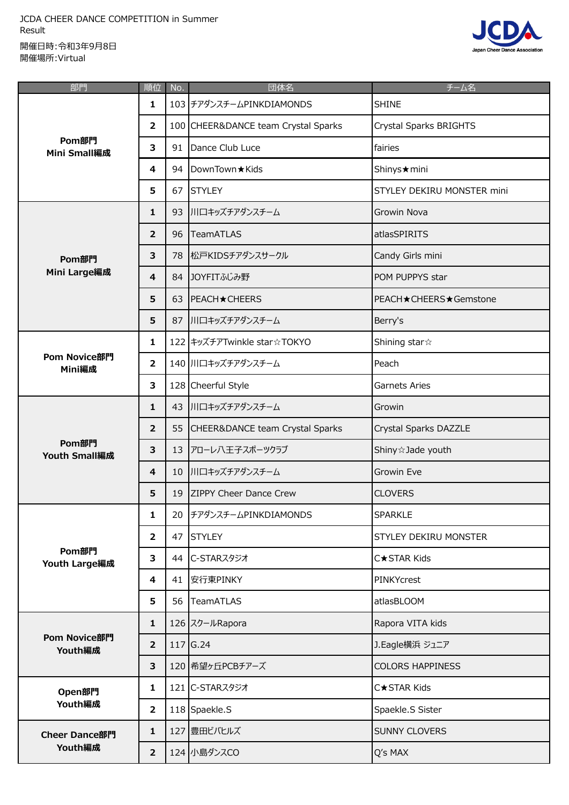JCDA CHEER DANCE COMPETITION in Summer Result 開催日時:令和3年9月8日 開催場所:Virtual



| 部門                              | 順位                      | No. | 団体名                                 | チーム名                       |
|---------------------------------|-------------------------|-----|-------------------------------------|----------------------------|
| Pom部門<br><b>Mini Small編成</b>    | 1                       |     | 103 チアダンスチームPINKDIAMONDS            | <b>SHINE</b>               |
|                                 | $\mathbf{2}$            |     | 100 CHEER&DANCE team Crystal Sparks | Crystal Sparks BRIGHTS     |
|                                 | 3                       | 91  | Dance Club Luce                     | fairies                    |
|                                 | 4                       |     | 94   DownTown ★ Kids                | Shinys★mini                |
|                                 | 5                       | 67  | <b>STYLEY</b>                       | STYLEY DEKIRU MONSTER mini |
| Pom部門<br>Mini Large編成           | 1                       |     | 93 川口キッズチアダンスチーム                    | Growin Nova                |
|                                 | $\overline{2}$          | 96  | <b>TeamATLAS</b>                    | atlasSPIRITS               |
|                                 | 3                       |     | 78 松戸KIDSチアダンスサークル                  | Candy Girls mini           |
|                                 | $\overline{\mathbf{4}}$ |     | 84 JOYFITふじみ野                       | POM PUPPYS star            |
|                                 | 5                       |     | 63   PEACH★CHEERS                   | PEACH★CHEERS★Gemstone      |
|                                 | 5                       |     | 87 川口キッズチアダンスチーム                    | Berry's                    |
| Pom Novice部門<br>Mini編成          | 1                       |     | 122 キッズチアTwinkle star☆TOKYO         | Shining star $\approx$     |
|                                 | $\overline{2}$          |     | 140 川口キッズチアダンスチーム                   | Peach                      |
|                                 | 3                       |     | 128 Cheerful Style                  | Garnets Aries              |
|                                 | $\mathbf{1}$            |     | 43 川口キッズチアダンスチーム                    | Growin                     |
|                                 | 2                       |     | 55 CHEER&DANCE team Crystal Sparks  | Crystal Sparks DAZZLE      |
| Pom部門<br><b>Youth Small編成</b>   | 3                       |     | 13 アローレ八王子スポーツクラブ                   | Shiny & Jade youth         |
|                                 | $\overline{4}$          |     | 10 川口キッズチアダンスチーム                    | Growin Eve                 |
|                                 | 5                       |     | 19 ZIPPY Cheer Dance Crew           | <b>CLOVERS</b>             |
|                                 | 1                       |     | 20 チアダンスチームPINKDIAMONDS             | <b>SPARKLE</b>             |
|                                 | $\overline{2}$          |     | 47 STYLEY                           | STYLEY DEKIRU MONSTER      |
| Pom部門<br>Youth Large編成          | 3                       |     | 44 C-STARスタジオ                       | C★STAR Kids                |
|                                 | 4                       |     | 41 安行東PINKY                         | PINKYcrest                 |
|                                 | 5                       |     | 56 TeamATLAS                        | atlasBLOOM                 |
|                                 | 1                       |     | 126 スクールRapora                      | Rapora VITA kids           |
| Pom Novice部門<br>Youth編成         | $\overline{2}$          |     | $117$ G.24                          | J.Eagle横浜 ジュニア             |
|                                 | 3                       |     | 120 希望ヶ丘PCBチアーズ                     | <b>COLORS HAPPINESS</b>    |
| Open部門                          | 1                       |     | 121 C-STARスタジオ                      | <b>C★STAR Kids</b>         |
| Youth編成                         | $\overline{2}$          |     | 118 Spaekle.S                       | Spaekle.S Sister           |
| <b>Cheer Dance部門</b><br>Youth編成 | $\mathbf{1}$            |     | 127 豊田ビバヒルズ                         | SUNNY CLOVERS              |
|                                 | $\overline{2}$          |     | 124 小島ダンスCO                         | Q's MAX                    |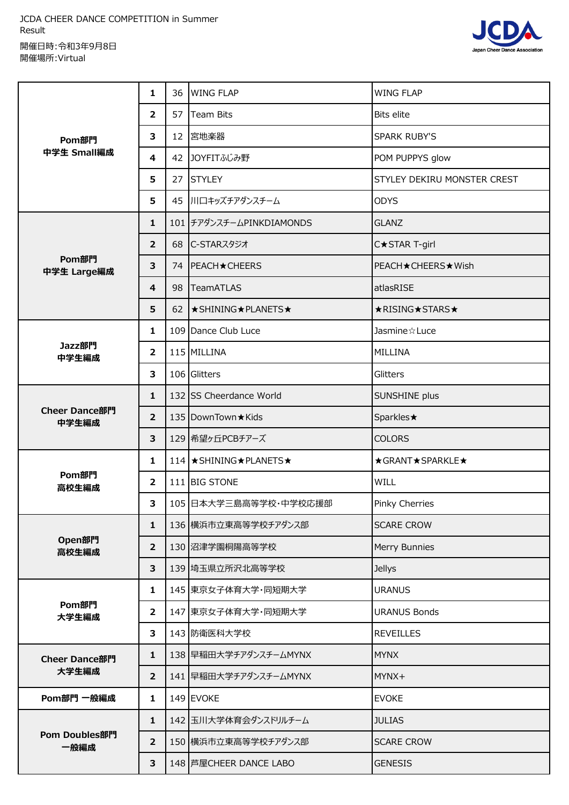JCDA CHEER DANCE COMPETITION in Summer Result 開催日時:令和3年9月8日 開催場所:Virtual



| Pom部門<br>中学生 Small編成   | 1              | 36 | <b>WING FLAP</b>           | <b>WING FLAP</b>             |
|------------------------|----------------|----|----------------------------|------------------------------|
|                        | $\overline{2}$ | 57 | <b>Team Bits</b>           | <b>Bits elite</b>            |
|                        | 3              |    | 12 宮地楽器                    | <b>SPARK RUBY'S</b>          |
|                        | 4              |    | 42 JOYFITふじみ野              | POM PUPPYS glow              |
|                        | 5              |    | 27 STYLEY                  | STYLEY DEKIRU MONSTER CREST  |
|                        | 5              |    | 45 川口キッズチアダンスチーム           | <b>ODYS</b>                  |
|                        | 1              |    | 101 チアダンスチームPINKDIAMONDS   | <b>GLANZ</b>                 |
|                        | $\overline{2}$ |    | 68 C-STARスタジオ              | C★STAR T-girl                |
| Pom部門<br>中学生 Large編成   | 3              |    | 74   PEACH ★ CHEERS        | <b>PEACH ★ CHEERS ★ Wish</b> |
|                        | 4              | 98 | <b>TeamATLAS</b>           | atlasRISE                    |
|                        | 5              |    | 62   ★ SHINING ★ PLANETS ★ | ★RISING★STARS★               |
| Jazz部門<br>中学生編成        | 1              |    | 109 Dance Club Luce        | Jasmine & Luce               |
|                        | $\overline{2}$ |    | 115 MILLINA                | <b>MILLINA</b>               |
|                        | 3              |    | 106 Glitters               | Glitters                     |
| Cheer Dance部門<br>中学生編成 | $\mathbf{1}$   |    | 132 SS Cheerdance World    | SUNSHINE plus                |
|                        | $\overline{2}$ |    | 135   DownTown ★ Kids      | Sparkles★                    |
|                        | 3              |    | 129 希望ヶ丘PCBチアーズ            | <b>COLORS</b>                |
|                        | 1              |    | 114 ★ SHINING★ PLANETS★    | ★GRANT★SPARKLE★              |
| Pom部門<br>高校生編成         | $\overline{2}$ |    | 111 BIG STONE              | WILL                         |
|                        | 3              |    | 105 日本大学三島高等学校・中学校応援部      | <b>Pinky Cherries</b>        |
|                        | 1              |    | 136 横浜市立東高等学校チアダンス部        | <b>SCARE CROW</b>            |
| Open部門<br>高校生編成        | $\overline{2}$ |    | 130 沼津学園桐陽高等学校             | Merry Bunnies                |
|                        | 3              |    | 139 埼玉県立所沢北高等学校            | <b>Jellys</b>                |
|                        | 1              |    | 145 東京女子体育大学・同短期大学         | <b>URANUS</b>                |
| Pom部門<br>大学生編成         | $\overline{2}$ |    | 147 東京女子体育大学・同短期大学         | <b>URANUS Bonds</b>          |
|                        | 3              |    | 143 防衛医科大学校                | <b>REVEILLES</b>             |
| Cheer Dance部門          | 1              |    | 138 早稲田大学チアダンスチームMYNX      | <b>MYNX</b>                  |
| 大学生編成                  | $\overline{2}$ |    | 141 早稲田大学チアダンスチームMYNX      | MYNX+                        |
| Pom部門 一般編成             | 1              |    | 149 EVOKE                  | <b>EVOKE</b>                 |
|                        | 1              |    | 142 玉川大学体育会ダンスドリルチーム       | <b>JULIAS</b>                |
| Pom Doubles部門<br>一般編成  | $\overline{2}$ |    | 150 横浜市立東高等学校チアダンス部        | <b>SCARE CROW</b>            |
|                        | 3              |    | 148 芦屋CHEER DANCE LABO     | <b>GENESIS</b>               |